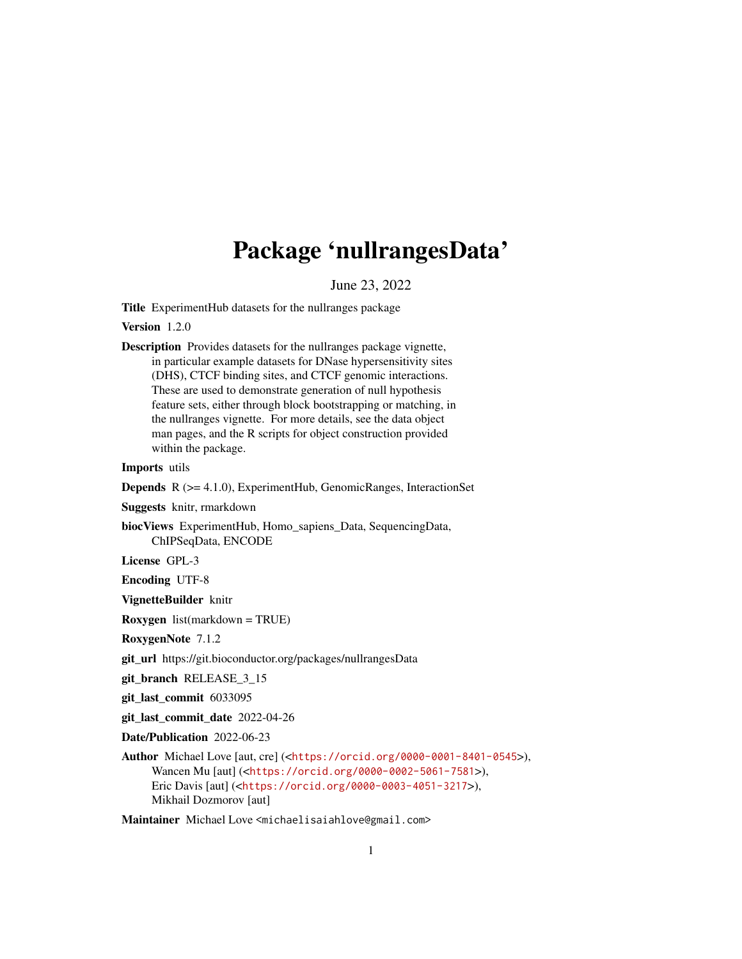## Package 'nullrangesData'

June 23, 2022

Title ExperimentHub datasets for the nullranges package

Version 1.2.0

Description Provides datasets for the nullranges package vignette, in particular example datasets for DNase hypersensitivity sites (DHS), CTCF binding sites, and CTCF genomic interactions. These are used to demonstrate generation of null hypothesis feature sets, either through block bootstrapping or matching, in the nullranges vignette. For more details, see the data object man pages, and the R scripts for object construction provided within the package.

Imports utils

Depends R (>= 4.1.0), ExperimentHub, GenomicRanges, InteractionSet

Suggests knitr, rmarkdown

biocViews ExperimentHub, Homo\_sapiens\_Data, SequencingData, ChIPSeqData, ENCODE

License GPL-3

Encoding UTF-8

VignetteBuilder knitr

Roxygen list(markdown = TRUE)

RoxygenNote 7.1.2

git\_url https://git.bioconductor.org/packages/nullrangesData

git\_branch RELEASE\_3\_15

git\_last\_commit 6033095

git\_last\_commit\_date 2022-04-26

Date/Publication 2022-06-23

Maintainer Michael Love <michaelisaiahlove@gmail.com>

Author Michael Love [aut, cre] (<<https://orcid.org/0000-0001-8401-0545>>), Wancen Mu [aut] (<<https://orcid.org/0000-0002-5061-7581>>), Eric Davis [aut] (<<https://orcid.org/0000-0003-4051-3217>>), Mikhail Dozmorov [aut]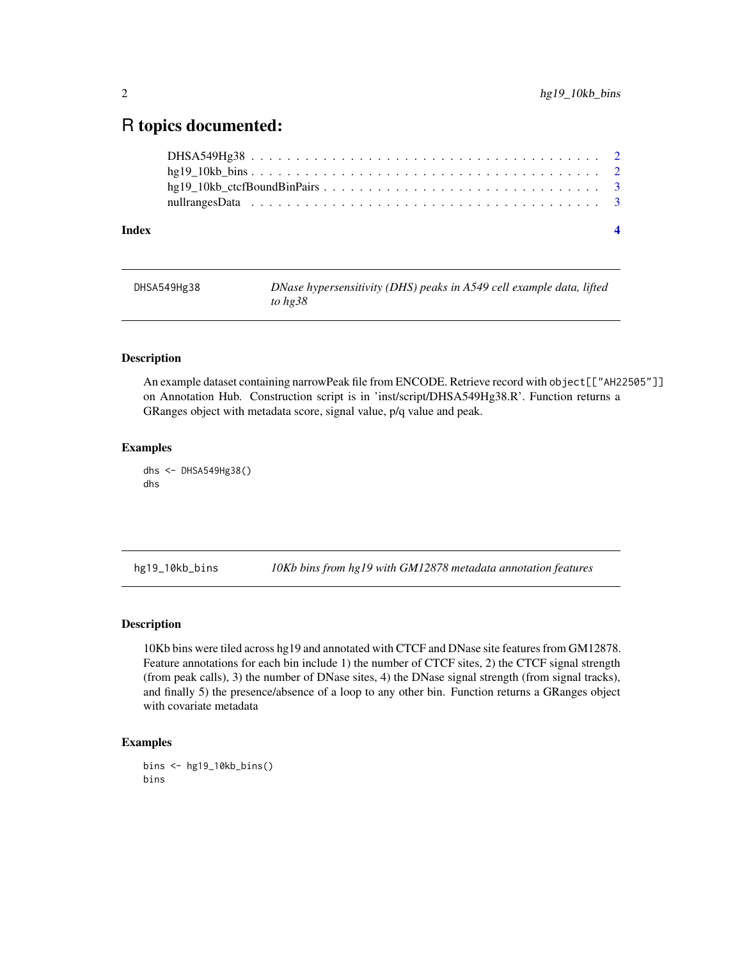### <span id="page-1-0"></span>R topics documented:

| Index |  |
|-------|--|

| DHSA549Hg38 | DNase hypersensitivity (DHS) peaks in A549 cell example data, lifted |
|-------------|----------------------------------------------------------------------|
|             | to hg38                                                              |

#### Description

An example dataset containing narrowPeak file from ENCODE. Retrieve record with object[["AH22505"]] on Annotation Hub. Construction script is in 'inst/script/DHSA549Hg38.R'. Function returns a GRanges object with metadata score, signal value, p/q value and peak.

#### Examples

```
dhs <- DHSA549Hg38()
dhs
```
hg19\_10kb\_bins *10Kb bins from hg19 with GM12878 metadata annotation features*

#### Description

10Kb bins were tiled across hg19 and annotated with CTCF and DNase site features from GM12878. Feature annotations for each bin include 1) the number of CTCF sites, 2) the CTCF signal strength (from peak calls), 3) the number of DNase sites, 4) the DNase signal strength (from signal tracks), and finally 5) the presence/absence of a loop to any other bin. Function returns a GRanges object with covariate metadata

#### Examples

```
bins <- hg19_10kb_bins()
bins
```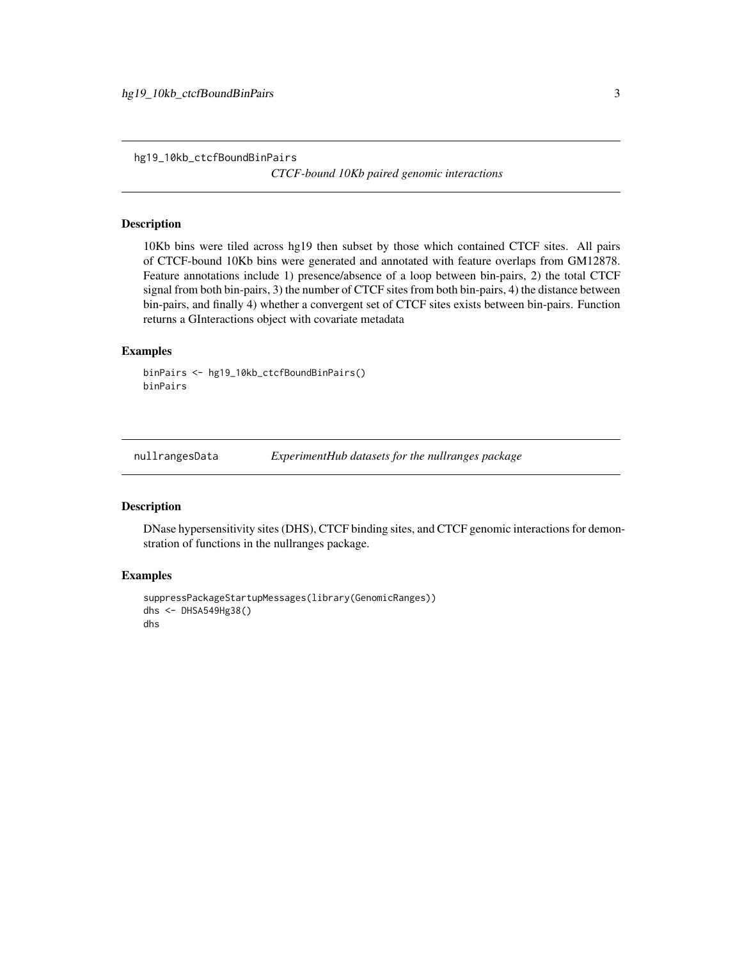<span id="page-2-0"></span>hg19\_10kb\_ctcfBoundBinPairs

*CTCF-bound 10Kb paired genomic interactions*

#### Description

10Kb bins were tiled across hg19 then subset by those which contained CTCF sites. All pairs of CTCF-bound 10Kb bins were generated and annotated with feature overlaps from GM12878. Feature annotations include 1) presence/absence of a loop between bin-pairs, 2) the total CTCF signal from both bin-pairs, 3) the number of CTCF sites from both bin-pairs, 4) the distance between bin-pairs, and finally 4) whether a convergent set of CTCF sites exists between bin-pairs. Function returns a GInteractions object with covariate metadata

#### Examples

binPairs <- hg19\_10kb\_ctcfBoundBinPairs() binPairs

nullrangesData *ExperimentHub datasets for the nullranges package*

#### Description

DNase hypersensitivity sites (DHS), CTCF binding sites, and CTCF genomic interactions for demonstration of functions in the nullranges package.

#### Examples

```
suppressPackageStartupMessages(library(GenomicRanges))
dhs <- DHSA549Hg38()
dhs
```